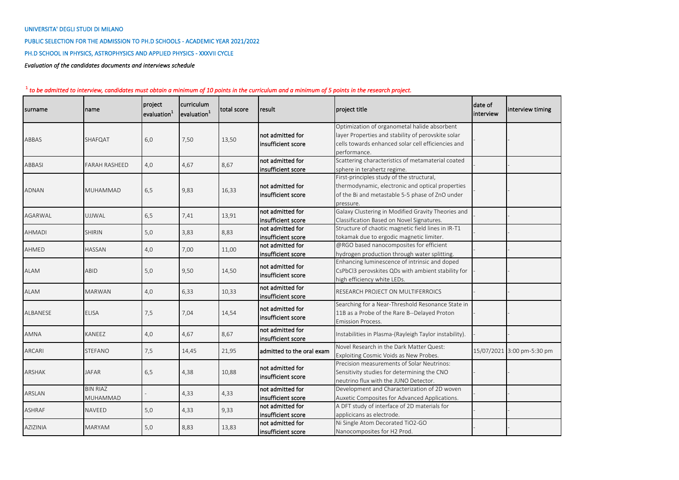## UNIVERSITA' DEGLI STUDI DI MILANO

PUBLIC SELECTION FOR THE ADMISSION TO PH.D SCHOOLS - ACADEMIC YEAR 2021/2022

PH.D SCHOOL IN PHYSICS, ASTROPHYSICS AND APPLIED PHYSICS - XXXVII CYCLE

*Evaluation of the candidates documents and interviews schedule*

| surname         | name                 | project<br>evaluation <sup>1</sup> | curriculum<br>evaluation <sup>1</sup> | total score | result                                 | project title                                                                                      | date of<br>linterview | interview timing           |
|-----------------|----------------------|------------------------------------|---------------------------------------|-------------|----------------------------------------|----------------------------------------------------------------------------------------------------|-----------------------|----------------------------|
|                 |                      |                                    |                                       |             | not admitted for                       | Optimization of organometal halide absorbent<br>layer Properties and stability of perovskite solar |                       |                            |
| ABBAS           | SHAFQAT              | 6,0                                | 7,50                                  | 13,50       | insufficient score                     | cells towards enhanced solar cell efficiencies and                                                 |                       |                            |
|                 |                      |                                    |                                       |             |                                        | performance.                                                                                       |                       |                            |
|                 |                      |                                    |                                       |             | not admitted for                       | Scattering characteristics of metamaterial coated                                                  |                       |                            |
| <b>ABBASI</b>   | <b>FARAH RASHEED</b> | 4,0                                | 4,67                                  | 8,67        | insufficient score                     | sphere in terahertz regime.                                                                        |                       |                            |
|                 |                      |                                    |                                       |             |                                        | First-principles study of the structural,                                                          |                       |                            |
|                 |                      |                                    |                                       |             | not admitted for                       | thermodynamic, electronic and optical properties                                                   |                       |                            |
| <b>ADNAN</b>    | <b>MUHAMMAD</b>      | 6,5                                | 9,83                                  | 16,33       | insufficient score                     | of the Bi and metastable 5-5 phase of ZnO under                                                    |                       |                            |
|                 |                      |                                    |                                       |             |                                        | pressure.                                                                                          |                       |                            |
|                 |                      |                                    |                                       |             | not admitted for                       | Galaxy Clustering in Modified Gravity Theories and                                                 |                       |                            |
| <b>AGARWAL</b>  | <b>UJJWAL</b>        | 6,5                                | 7,41                                  | 13,91       | insufficient score                     | Classification Based on Novel Signatures.                                                          |                       |                            |
|                 |                      |                                    |                                       | 8,83        | not admitted for                       | Structure of chaotic magnetic field lines in IR-T1                                                 |                       |                            |
| <b>AHMADI</b>   | <b>SHIRIN</b>        | 5,0                                | 3,83                                  |             | insufficient score                     | tokamak due to ergodic magnetic limiter.                                                           |                       |                            |
| AHMED           | HASSAN               | 4,0                                | 7,00                                  | 11,00       | not admitted for                       | @RGO based nanocomposites for efficient                                                            |                       |                            |
|                 |                      |                                    |                                       |             | insufficient score                     | hydrogen production through water splitting.                                                       |                       |                            |
|                 | ABID                 | 5,0                                | 9,50                                  | 14,50       | not admitted for                       | Enhancing luminescence of intrinsic and doped                                                      |                       |                            |
| <b>ALAM</b>     |                      |                                    |                                       |             | insufficient score                     | CsPbCl3 perovskites QDs with ambient stability for                                                 |                       |                            |
|                 |                      |                                    |                                       |             |                                        | high efficiency white LEDs.                                                                        |                       |                            |
| ALAM            | <b>MARWAN</b>        | 4,0                                | 6,33                                  | 10,33       | not admitted for<br>insufficient score | RESEARCH PROJECT ON MULTIFERROICS                                                                  |                       |                            |
|                 |                      | 7,5                                |                                       | 14,54       | not admitted for                       | Searching for a Near-Threshold Resonance State in                                                  |                       |                            |
| <b>ALBANESE</b> | <b>ELISA</b>         |                                    | 7,04                                  |             | insufficient score                     | 11B as a Probe of the Rare B--Delayed Proton                                                       |                       |                            |
|                 |                      |                                    |                                       |             |                                        | <b>Emission Process.</b>                                                                           |                       |                            |
| <b>AMNA</b>     | <b>KANEEZ</b>        | 4,0                                | 4,67                                  | 8,67        | not admitted for<br>insufficient score | Instabilities in Plasma-(Rayleigh Taylor instability).                                             |                       |                            |
| <b>ARCARI</b>   | <b>STEFANO</b>       | 7,5                                | 14,45                                 | 21,95       | admitted to the oral exam              | Novel Research in the Dark Matter Quest:                                                           |                       | 15/07/2021 3:00 pm-5:30 pm |
|                 |                      |                                    |                                       |             |                                        | Exploiting Cosmic Voids as New Probes.                                                             |                       |                            |
|                 |                      |                                    |                                       |             | not admitted for                       | Precision measurements of Solar Neutrinos:                                                         |                       |                            |
| <b>ARSHAK</b>   | <b>JAFAR</b>         | 6,5                                | 4,38                                  | 10,88       | insufficient score                     | Sensitivity studies for determining the CNO                                                        |                       |                            |
|                 |                      |                                    |                                       |             |                                        | neutrino flux with the JUNO Detector.                                                              |                       |                            |
| ARSLAN          | <b>BIN RIAZ</b>      |                                    | 4,33                                  | 4,33        | not admitted for                       | Development and Characterization of 2D woven                                                       |                       |                            |
|                 | MUHAMMAD             |                                    |                                       |             | insufficient score                     | Auxetic Composites for Advanced Applications.                                                      |                       |                            |
| <b>ASHRAF</b>   | <b>NAVEED</b>        | 5,0                                | 4,33                                  | 9,33        | not admitted for                       | A DFT study of interface of 2D materials for                                                       |                       |                            |
|                 |                      |                                    |                                       |             | insufficient score                     | applicicans as electrode.                                                                          |                       |                            |
| AZIZINIA        | <b>MARYAM</b>        | 5,0                                | 8,83                                  | 13,83       | not admitted for                       | Ni Single Atom Decorated TiO2-GO                                                                   |                       |                            |
|                 |                      |                                    |                                       |             | insufficient score                     | Nanocomposites for H2 Prod.                                                                        |                       |                            |

## <sup>1</sup> *to be admitted to interview, candidates must obtain a minimum of 10 points in the curriculum and a minimum of 5 points in the research project.*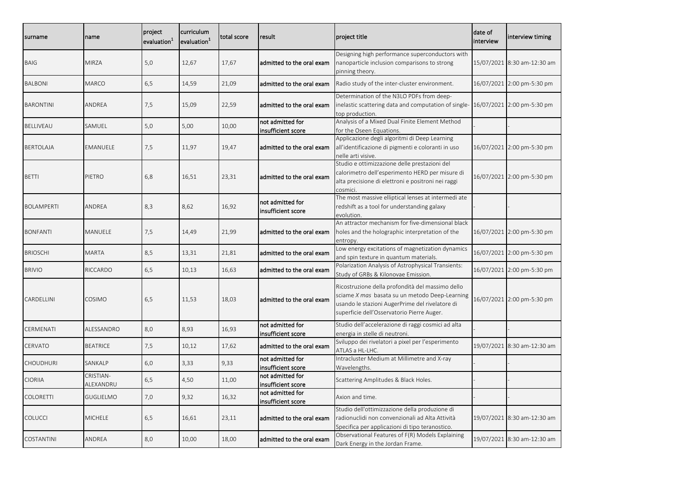| surname           | name                   | project<br>evaluation <sup>1</sup> | curriculum<br>evaluation <sup>1</sup> | total score | result                                 | project title                                                                                                                                                                                       | date of<br>interview | interview timing            |
|-------------------|------------------------|------------------------------------|---------------------------------------|-------------|----------------------------------------|-----------------------------------------------------------------------------------------------------------------------------------------------------------------------------------------------------|----------------------|-----------------------------|
| <b>BAIG</b>       | <b>MIRZA</b>           | 5,0                                | 12,67                                 | 17,67       | admitted to the oral exam              | Designing high performance superconductors with<br>nanoparticle inclusion comparisons to strong<br>pinning theory.                                                                                  |                      | 15/07/2021 8:30 am-12:30 am |
| <b>BALBONI</b>    | <b>MARCO</b>           | 6,5                                | 14,59                                 | 21,09       | ladmitted to the oral exam             | Radio study of the inter-cluster environment.                                                                                                                                                       |                      | 16/07/2021 2:00 pm-5:30 pm  |
| <b>BARONTINI</b>  | ANDREA                 | 7,5                                | 15,09                                 | 22,59       | admitted to the oral exam              | Determination of the N3LO PDFs from deep-<br>inelastic scattering data and computation of single- 16/07/2021 2:00 pm-5:30 pm<br>top production.                                                     |                      |                             |
| <b>BELLIVEAU</b>  | SAMUEL                 | 5,0                                | 5,00                                  | 10,00       | not admitted for<br>insufficient score | Analysis of a Mixed Dual Finite Element Method<br>for the Oseen Equations.                                                                                                                          |                      |                             |
| <b>BERTOLAJA</b>  | EMANUELE               | 7,5                                | 11,97                                 | 19,47       | admitted to the oral exam              | Applicazione degli algoritmi di Deep Learning<br>all'identificazione di pigmenti e coloranti in uso<br>nelle arti visive.                                                                           |                      | 16/07/2021 2:00 pm-5:30 pm  |
| <b>BETTI</b>      | PIETRO                 | 6,8                                | 16,51                                 | 23,31       | ladmitted to the oral exam             | Studio e ottimizzazione delle prestazioni del<br>calorimetro dell'esperimento HERD per misure di<br>alta precisione di elettroni e positroni nei raggi<br>cosmici.                                  |                      | 16/07/2021 2:00 pm-5:30 pm  |
| <b>BOLAMPERTI</b> | ANDREA                 | 8,3                                | 8,62                                  | 16,92       | not admitted for<br>insufficient score | The most massive elliptical lenses at intermedi ate<br>redshift as a tool for understanding galaxy<br>evolution.                                                                                    |                      |                             |
| <b>BONFANTI</b>   | MANUELE                | 7,5                                | 14,49                                 | 21,99       | admitted to the oral exam              | An attractor mechanism for five-dimensional black<br>holes and the holographic interpretation of the<br>entropy.                                                                                    |                      | 16/07/2021 2:00 pm-5:30 pm  |
| <b>BRIOSCHI</b>   | <b>MARTA</b>           | 8,5                                | 13,31                                 | 21,81       | admitted to the oral exam              | Low energy excitations of magnetization dynamics<br>and spin texture in quantum materials.                                                                                                          |                      | 16/07/2021 2:00 pm-5:30 pm  |
| <b>BRIVIO</b>     | RICCARDO               | 6,5                                | 10,13                                 | 16,63       | admitted to the oral exam              | Polarization Analysis of Astrophysical Transients:<br>Study of GRBs & Kilonovae Emission.                                                                                                           |                      | 16/07/2021 2:00 pm-5:30 pm  |
| CARDELLINI        | COSIMO                 | 6,5                                | 11,53                                 | 18,03       | admitted to the oral exam              | Ricostruzione della profondità del massimo dello<br>sciame X mas basata su un metodo Deep-Learning<br>usando le stazioni AugerPrime del rivelatore di<br>superficie dell'Osservatorio Pierre Auger. |                      | 16/07/2021 2:00 pm-5:30 pm  |
| CERMENATI         | ALESSANDRO             | 8,0                                | 8,93                                  | 16,93       | not admitted for<br>insufficient score | Studio dell'accelerazione di raggi cosmici ad alta<br>energia in stelle di neutroni.                                                                                                                |                      |                             |
| <b>CERVATO</b>    | <b>BEATRICE</b>        | 7,5                                | 10,12                                 | 17,62       | admitted to the oral exam              | Sviluppo dei rivelatori a pixel per l'esperimento<br>ATLAS a HL-LHC.                                                                                                                                |                      | 19/07/2021 8:30 am-12:30 am |
| <b>CHOUDHURI</b>  | SANKALP                | 6,0                                | 3,33                                  | 9,33        | not admitted for<br>insufficient score | Intracluster Medium at Millimetre and X-ray<br>Wavelengths.                                                                                                                                         |                      |                             |
| <b>CIORIIA</b>    | CRISTIAN-<br>ALEXANDRU | 6,5                                | 4,50                                  | 11,00       | not admitted for<br>insufficient score | Scattering Amplitudes & Black Holes.                                                                                                                                                                |                      |                             |
| <b>COLORETTI</b>  | <b>GUGLIELMO</b>       | 7,0                                | 9,32                                  | 16,32       | not admitted for<br>insufficient score | Axion and time.                                                                                                                                                                                     |                      |                             |
| <b>COLUCCI</b>    | <b>MICHELE</b>         | 6,5                                | 16,61                                 | 23,11       | admitted to the oral exam              | Studio dell'ottimizzazione della produzione di<br>radionuclidi non convenzionali ad Alta Attività<br>Specifica per applicazioni di tipo teranostico.                                                |                      | 19/07/2021 8:30 am-12:30 am |
| COSTANTINI        | ANDREA                 | 8,0                                | 10,00                                 | 18,00       | admitted to the oral exam              | Observational Features of F(R) Models Explaining<br>Dark Energy in the Jordan Frame.                                                                                                                |                      | 19/07/2021 8:30 am-12:30 am |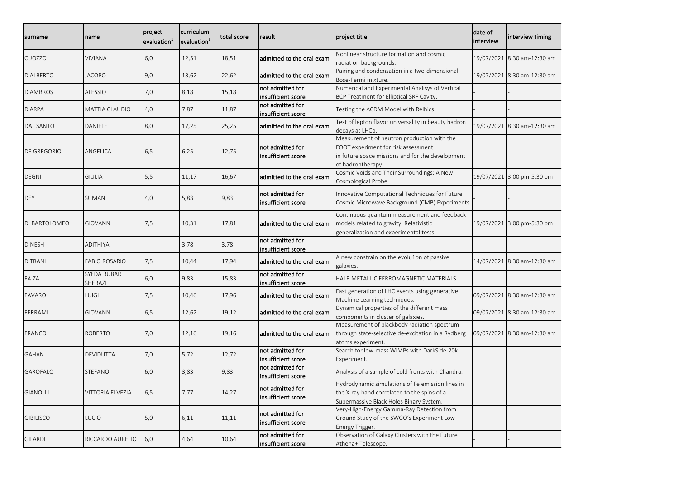| surname          | name                   | project<br>evaluation <sup>1</sup> | curriculum<br>evaluation <sup>1</sup> | total score | result                                 | project title                                                                                                                                              | date of<br>interview | interview timing            |
|------------------|------------------------|------------------------------------|---------------------------------------|-------------|----------------------------------------|------------------------------------------------------------------------------------------------------------------------------------------------------------|----------------------|-----------------------------|
| CUOZZO           | <b>VIVIANA</b>         | 6,0                                | 12,51                                 | 18,51       | admitted to the oral exam              | Nonlinear structure formation and cosmic<br>radiation backgrounds.                                                                                         |                      | 19/07/2021 8:30 am-12:30 am |
| D'ALBERTO        | <b>JACOPO</b>          | 9,0                                | 13,62                                 | 22,62       | admitted to the oral exam              | Pairing and condensation in a two-dimensional<br>Bose-Fermi mixture.                                                                                       |                      | 19/07/2021 8:30 am-12:30 am |
| D'AMBROS         | <b>ALESSIO</b>         | 7,0                                | 8,18                                  | 15,18       | not admitted for<br>insufficient score | Numerical and Experimental Analisys of Vertical<br>BCP Treatment for Elliptical SRF Cavity.                                                                |                      |                             |
| D'ARPA           | MATTIA CLAUDIO         | 4,0                                | 7,87                                  | 11,87       | not admitted for<br>insufficient score | Testing the ACDM Model with Relhics.                                                                                                                       |                      |                             |
| DAL SANTO        | DANIELE                | 8,0                                | 17,25                                 | 25,25       | admitted to the oral exam              | Test of lepton flavor universality in beauty hadron<br>decays at LHCb.                                                                                     |                      | 19/07/2021 8:30 am-12:30 am |
| DE GREGORIO      | ANGELICA               | 6,5                                | 6,25                                  | 12,75       | not admitted for<br>insufficient score | Measurement of neutron production with the<br>FOOT experiment for risk assessment<br>in future space missions and for the development<br>of hadrontherapy. |                      |                             |
| <b>DEGNI</b>     | <b>GIULIA</b>          | 5,5                                | 11,17                                 | 16,67       | admitted to the oral exam              | Cosmic Voids and Their Surroundings: A New<br>Cosmological Probe.                                                                                          |                      | 19/07/2021 3:00 pm-5:30 pm  |
| DEY              | SUMAN                  | 4,0                                | 5,83                                  | 9,83        | not admitted for<br>insufficient score | Innovative Computational Techniques for Future<br>Cosmic Microwave Background (CMB) Experiments.                                                           |                      |                             |
| DI BARTOLOMEO    | <b>GIOVANNI</b>        | 7,5                                | 10,31                                 | 17,81       | admitted to the oral exam              | Continuous quantum measurement and feedback<br>models related to gravity: Relativistic<br>generalization and experimental tests.                           |                      | 19/07/2021 3:00 pm-5:30 pm  |
| <b>DINESH</b>    | <b>ADITHIYA</b>        |                                    | 3,78                                  | 3,78        | not admitted for<br>insufficient score |                                                                                                                                                            |                      |                             |
| <b>DITRANI</b>   | <b>FABIO ROSARIO</b>   | 7,5                                | 10,44                                 | 17,94       | admitted to the oral exam              | A new constrain on the evolu1on of passive<br>galaxies.                                                                                                    |                      | 14/07/2021 8:30 am-12:30 am |
| FAIZA            | SYEDA RUBAR<br>SHERAZI | 6,0                                | 9,83                                  | 15,83       | not admitted for<br>insufficient score | HALF-METALLIC FERROMAGNETIC MATERIALS                                                                                                                      |                      |                             |
| FAVARO           | LUIGI                  | 7,5                                | 10,46                                 | 17,96       | admitted to the oral exam              | Fast generation of LHC events using generative<br>Machine Learning techniques.                                                                             |                      | 09/07/2021 8:30 am-12:30 am |
| FERRAMI          | <b>GIOVANNI</b>        | 6,5                                | 12,62                                 | 19,12       | admitted to the oral exam              | Dynamical properties of the different mass<br>components in cluster of galaxies.                                                                           |                      | 09/07/2021 8:30 am-12:30 am |
| FRANCO           | ROBERTO                | 7,0                                | 12,16                                 | 19,16       | admitted to the oral exam              | Measurement of blackbody radiation spectrum<br>through state-selective de-excitation in a Rydberg<br>atoms experiment.                                     |                      | 09/07/2021 8:30 am-12:30 am |
| GAHAN            | DEVIDUTTA              | 7,0                                | 5,72                                  | 12,72       | not admitted for<br>insufficient score | Search for low-mass WIMPs with DarkSide-20k<br>Experiment.                                                                                                 |                      |                             |
| GAROFALO         | STEFANO                | 6,0                                | 3,83                                  | 9,83        | not admitted for<br>insufficient score | Analysis of a sample of cold fronts with Chandra.                                                                                                          |                      |                             |
| <b>GIANOLLI</b>  | VITTORIA ELVEZIA       | 6,5                                | 7,77                                  | 14,27       | not admitted for<br>insufficient score | Hydrodynamic simulations of Fe emission lines in<br>the X-ray band correlated to the spins of a<br>Supermassive Black Holes Binary System.                 |                      |                             |
| <b>GIBILISCO</b> | LUCIO                  | 5,0                                | 6,11                                  | 11,11       | not admitted for<br>insufficient score | Very-High-Energy Gamma-Ray Detection from<br>Ground Study of the SWGO's Experiment Low-<br>Energy Trigger.                                                 |                      |                             |
| GILARDI          | RICCARDO AURELIO       | 6,0                                | 4,64                                  | 10,64       | not admitted for<br>insufficient score | Observation of Galaxy Clusters with the Future<br>Athena+ Telescope.                                                                                       |                      |                             |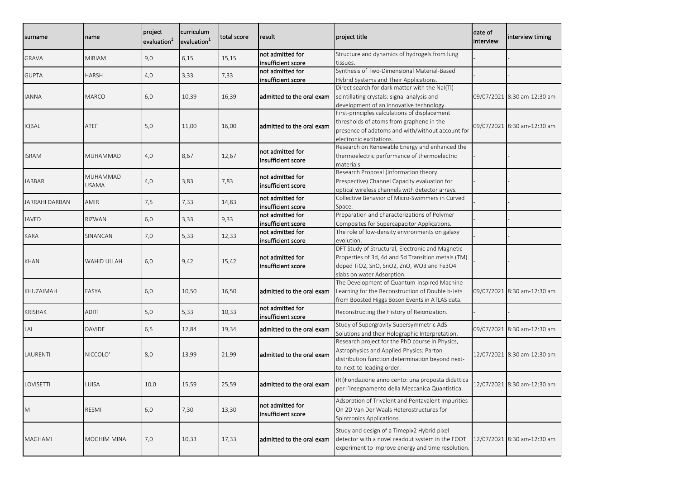| surname        | name          | project<br>evaluation <sup>1</sup> | curriculum<br>evaluation <sup>1</sup> | total score | result                                 | project title                                                                             | date of<br>interview | interview timing            |
|----------------|---------------|------------------------------------|---------------------------------------|-------------|----------------------------------------|-------------------------------------------------------------------------------------------|----------------------|-----------------------------|
| GRAVA          | <b>MIRIAM</b> | 9,0                                | 6,15                                  | 15,15       | not admitted for                       | Structure and dynamics of hydrogels from lung                                             |                      |                             |
|                |               |                                    |                                       |             | insufficient score                     | tissues.                                                                                  |                      |                             |
| <b>GUPTA</b>   | <b>HARSH</b>  | 4,0                                | 3,33                                  | 7,33        | not admitted for                       | Synthesis of Two-Dimensional Material-Based                                               |                      |                             |
|                |               |                                    |                                       |             | insufficient score                     | Hybrid Systems and Their Applications.                                                    |                      |                             |
|                |               |                                    |                                       |             |                                        | Direct search for dark matter with the NaI(TI)                                            |                      |                             |
| <b>IANNA</b>   | <b>MARCO</b>  | 6,0                                | 10,39                                 | 16,39       | admitted to the oral exam              | scintillating crystals: signal analysis and                                               |                      | 09/07/2021 8:30 am-12:30 am |
|                |               |                                    |                                       |             |                                        | development of an innovative technology.<br>First-principles calculations of displacement |                      |                             |
|                |               |                                    |                                       |             |                                        | thresholds of atoms from graphene in the                                                  |                      |                             |
| IQBAL          | ATEF          | 5,0                                | 11,00                                 | 16,00       | admitted to the oral exam              | presence of adatoms and with/without account for                                          |                      | 09/07/2021 8:30 am-12:30 am |
|                |               |                                    |                                       |             |                                        | electronic excitations.                                                                   |                      |                             |
|                |               |                                    |                                       |             |                                        | Research on Renewable Energy and enhanced the                                             |                      |                             |
| ISRAM          | MUHAMMAD      | 4,0                                | 8,67                                  | 12,67       | not admitted for                       | thermoelectric performance of thermoelectric                                              |                      |                             |
|                |               |                                    |                                       |             | insufficient score                     | materials.                                                                                |                      |                             |
|                |               |                                    |                                       |             |                                        | Research Proposal (Information theory                                                     |                      |                             |
| <b>JABBAR</b>  | MUHAMMAD      | 4,0                                | 3,83                                  | 7,83        | not admitted for                       | Prespective) Channel Capacity evaluation for                                              |                      |                             |
|                | <b>USAMA</b>  |                                    |                                       |             | insufficient score                     | optical wireless channels with detector arrays.                                           |                      |                             |
|                |               |                                    |                                       |             | not admitted for                       | Collective Behavior of Micro-Swimmers in Curved                                           |                      |                             |
| JARRAHI DARBAN | <b>AMIR</b>   | 7,5                                | 7,33                                  | 14,83       | insufficient score                     | Space.                                                                                    |                      |                             |
|                |               |                                    |                                       |             | not admitted for                       | Preparation and characterizations of Polymer                                              |                      |                             |
| <b>JAVED</b>   | <b>RIZWAN</b> | 6,0                                | 3,33                                  | 9,33        | insufficient score                     | Composites for Supercapacitor Applications.                                               |                      |                             |
|                |               |                                    |                                       |             | not admitted for                       | The role of low-density environments on galaxy                                            |                      |                             |
| KARA           | SINANCAN      | 7,0                                | 5,33                                  | 12,33       | insufficient score                     | evolution.                                                                                |                      |                             |
|                |               |                                    |                                       |             |                                        | DFT Study of Structural, Electronic and Magnetic                                          |                      |                             |
|                |               |                                    |                                       |             | not admitted for                       | Properties of 3d, 4d and 5d Transition metals (TM)                                        |                      |                             |
| KHAN           | WAHID ULLAH   | 6,0                                | 9,42                                  | 15,42       | insufficient score                     | doped TiO2, SnO, SnO2, ZnO, WO3 and Fe3O4                                                 |                      |                             |
|                |               |                                    |                                       |             |                                        | slabs on water Adsorption.                                                                |                      |                             |
|                |               |                                    |                                       |             |                                        | The Development of Quantum-Inspired Machine                                               |                      |                             |
| KHUZAIMAH      | FASYA         | 6,0                                | 10,50                                 | 16,50       | admitted to the oral exam              | Learning for the Reconstruction of Double b-Jets                                          |                      | 09/07/2021 8:30 am-12:30 am |
|                |               |                                    |                                       |             |                                        | from Boosted Higgs Boson Events in ATLAS data.                                            |                      |                             |
| <b>KRISHAK</b> | <b>ADITI</b>  | 5,0                                | 5,33                                  | 10,33       | not admitted for<br>insufficient score | Reconstructing the History of Reionization.                                               |                      |                             |
|                |               |                                    |                                       |             |                                        | Study of Supergravity Supersymmetric AdS                                                  |                      |                             |
| LAI            | <b>DAVIDE</b> | 6,5                                | 12,84                                 | 19,34       | admitted to the oral exam              | Solutions and their Holographic Interpretation.                                           |                      | 09/07/2021 8:30 am-12:30 am |
|                |               |                                    |                                       |             |                                        | Research project for the PhD course in Physics,                                           |                      |                             |
| LAURENTI       | NICCOLO'      | 8,0                                |                                       | 21,99       | ladmitted to the oral exam             | Astrophysics and Applied Physics: Parton                                                  |                      | 12/07/2021 8:30 am-12:30 am |
|                |               |                                    | 13,99                                 |             |                                        | distribution function determination beyond next-                                          |                      |                             |
|                |               |                                    |                                       |             |                                        | to-next-to-leading order.                                                                 |                      |                             |
|                |               |                                    |                                       |             |                                        | (RI)Fondazione anno cento: una proposta didattica                                         |                      |                             |
| LOVISETTI      | LUISA         | 10,0                               | 15,59                                 | 25,59       | admitted to the oral exam              | per l'insegnamento della Meccanica Quantistica.                                           |                      | 12/07/2021 8:30 am-12:30 am |
|                |               |                                    |                                       |             |                                        |                                                                                           |                      |                             |
|                |               |                                    |                                       |             | not admitted for                       | Adsorption of Trivalent and Pentavalent Impurities                                        |                      |                             |
| M              | <b>RESMI</b>  | 6,0                                | 7,30                                  | 13,30       | insufficient score                     | On 2D Van Der Waals Heterostructures for                                                  |                      |                             |
|                |               |                                    |                                       |             |                                        | Spintronics Applications.                                                                 |                      |                             |
|                |               |                                    |                                       |             |                                        | Study and design of a Timepix2 Hybrid pixel                                               |                      |                             |
| MAGHAMI        | MOGHIM MINA   | 7,0                                | 10,33                                 | 17,33       | admitted to the oral exam              | detector with a novel readout system in the FOOT                                          |                      | 12/07/2021 8:30 am-12:30 am |
|                |               |                                    |                                       |             |                                        | experiment to improve energy and time resolution.                                         |                      |                             |
|                |               |                                    |                                       |             |                                        |                                                                                           |                      |                             |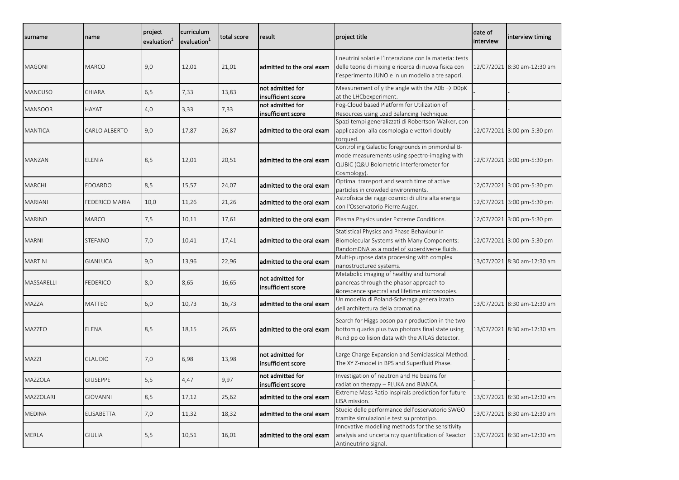| surname        | name            | project<br>evaluation <sup>1</sup> | curriculum<br>evaluation <sup>1</sup> | total score | result                                 | project title                                                                                                                                                     | date of<br>interview | interview timing            |
|----------------|-----------------|------------------------------------|---------------------------------------|-------------|----------------------------------------|-------------------------------------------------------------------------------------------------------------------------------------------------------------------|----------------------|-----------------------------|
| <b>MAGONI</b>  | <b>MARCO</b>    | 9,0                                | 12,01                                 | 21,01       | ladmitted to the oral exam             | neutrini solari e l'interazione con la materia: tests<br>delle teorie di mixing e ricerca di nuova fisica con<br>l'esperimento JUNO e in un modello a tre sapori. |                      | 12/07/2021 8:30 am-12:30 am |
| <b>MANCUSO</b> | CHIARA          | 6,5                                | 7,33                                  | 13,83       | not admitted for<br>insufficient score | Measurement of $\gamma$ the angle with the $\Lambda$ Ob $\rightarrow$ DOpK<br>at the LHCbexperiment.                                                              |                      |                             |
| <b>MANSOOR</b> | HAYAT           | 4,0                                | 3,33                                  | 7,33        | not admitted for<br>insufficient score | Fog-Cloud based Platform for Utilization of<br>Resources using Load Balancing Technique.                                                                          |                      |                             |
| <b>MANTICA</b> | CARLO ALBERTO   | 9,0                                | 17,87                                 | 26,87       | admitted to the oral exam              | Spazi tempi generalizzati di Robertson-Walker, con<br>applicazioni alla cosmologia e vettori doubly-<br>torqued.                                                  |                      | 12/07/2021 3:00 pm-5:30 pm  |
| MANZAN         | ELENIA          | 8,5                                | 12,01                                 | 20,51       | admitted to the oral exam              | Controlling Galactic foregrounds in primordial B-<br>mode measurements using spectro-imaging with<br>QUBIC (Q&U Bolometric Interferometer for<br>Cosmology).      |                      | 12/07/2021 3:00 pm-5:30 pm  |
| <b>MARCHI</b>  | EDOARDO         | 8,5                                | 15,57                                 | 24,07       | admitted to the oral exam              | Optimal transport and search time of active<br>particles in crowded environments.                                                                                 |                      | 12/07/2021 3:00 pm-5:30 pm  |
| MARIANI        | EDERICO MARIA   | 10,0                               | 11,26                                 | 21,26       | admitted to the oral exam              | Astrofisica dei raggi cosmici di ultra alta energia<br>con l'Osservatorio Pierre Auger.                                                                           |                      | 12/07/2021 3:00 pm-5:30 pm  |
| <b>MARINO</b>  | <b>MARCO</b>    | 7,5                                | 10,11                                 | 17,61       | ladmitted to the oral exam             | Plasma Physics under Extreme Conditions.                                                                                                                          |                      | 12/07/2021 3:00 pm-5:30 pm  |
| <b>MARNI</b>   | STEFANO         | 7,0                                | 10,41                                 | 17,41       | admitted to the oral exam              | Statistical Physics and Phase Behaviour in<br>Biomolecular Systems with Many Components:<br>RandomDNA as a model of superdiverse fluids.                          |                      | 12/07/2021 3:00 pm-5:30 pm  |
| <b>MARTINI</b> | GIANLUCA        | 9,0                                | 13,96                                 | 22,96       | admitted to the oral exam              | Multi-purpose data processing with complex<br>nanostructured systems.                                                                                             |                      | 13/07/2021 8:30 am-12:30 am |
| MASSARELLI     | FEDERICO        | 8,0                                | 8,65                                  | 16,65       | not admitted for<br>insufficient score | Metabolic imaging of healthy and tumoral<br>pancreas through the phasor approach to<br>porescence spectral and lifetime microscopies.                             |                      |                             |
| <b>MAZZA</b>   | MATTEO          | 6,0                                | 10,73                                 | 16,73       | admitted to the oral exam              | Un modello di Poland-Scheraga generalizzato<br>dell'architettura della cromatina.                                                                                 |                      | 13/07/2021 8:30 am-12:30 am |
| <b>MAZZEO</b>  | ELENA           | 8,5                                | 18,15                                 | 26,65       | admitted to the oral exam              | Search for Higgs boson pair production in the two<br>bottom quarks plus two photons final state using<br>Run3 pp collision data with the ATLAS detector.          |                      | 13/07/2021 8:30 am-12:30 am |
| <b>MAZZI</b>   | CLAUDIO         | 7,0                                | 6,98                                  | 13,98       | not admitted for<br>insufficient score | Large Charge Expansion and Semiclassical Method.<br>The XY Z-model in BPS and Superfluid Phase.                                                                   |                      |                             |
| MAZZOLA        | <b>GIUSEPPE</b> | 5,5                                | 4,47                                  | 9,97        | not admitted for<br>insufficient score | Investigation of neutron and He beams for<br>radiation therapy - FLUKA and BIANCA.                                                                                |                      |                             |
| MAZZOLARI      | GIOVANNI        | 8,5                                | 17,12                                 | 25,62       | ladmitted to the oral exam             | Extreme Mass Ratio Inspirals prediction for future<br>LISA mission.                                                                                               |                      | 13/07/2021 8:30 am-12:30 am |
| <b>MEDINA</b>  | ELISABETTA      | 7,0                                | 11,32                                 | 18,32       | admitted to the oral exam              | Studio delle performance dell'osservatorio SWGO<br>tramite simulazioni e test su prototipo.                                                                       |                      | 13/07/2021 8:30 am-12:30 am |
| MERLA          | GIULIA          | 5,5                                | 10,51                                 | 16,01       | admitted to the oral exam              | Innovative modelling methods for the sensitivity<br>analysis and uncertainty quantification of Reactor<br>Antineutrino signal.                                    |                      | 13/07/2021 8:30 am-12:30 am |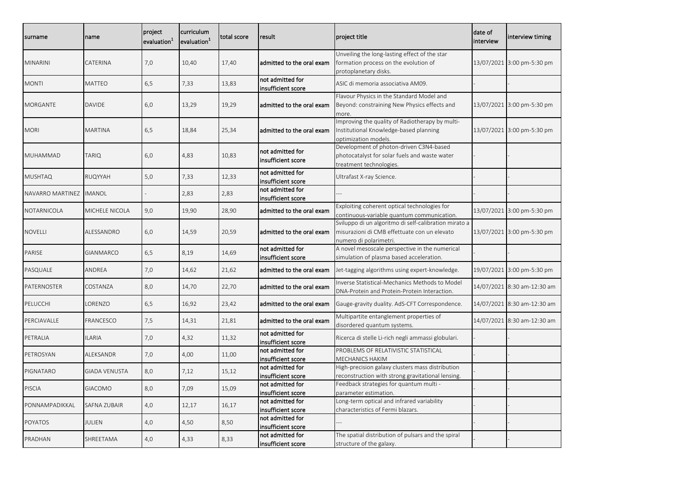| surname                 | name                 | project<br>evaluation <sup>1</sup> | curriculum<br>evaluation <sup>1</sup> | total score | result                                 | project title                                                                                                                   | date of<br>interview | interview timing            |
|-------------------------|----------------------|------------------------------------|---------------------------------------|-------------|----------------------------------------|---------------------------------------------------------------------------------------------------------------------------------|----------------------|-----------------------------|
| <b>MINARINI</b>         | CATERINA             | 7,0                                | 10,40                                 | 17,40       | admitted to the oral exam              | Unveiling the long-lasting effect of the star<br>formation process on the evolution of<br>protoplanetary disks.                 |                      | 13/07/2021 3:00 pm-5:30 pm  |
| <b>MONTI</b>            | <b>MATTEO</b>        | 6,5                                | 7,33                                  | 13,83       | not admitted for<br>insufficient score | ASIC di memoria associativa AM09.                                                                                               |                      |                             |
| MORGANTE                | <b>DAVIDE</b>        | 6,0                                | 13,29                                 | 19,29       | admitted to the oral exam              | Flavour Physics in the Standard Model and<br>Beyond: constraining New Physics effects and<br>more.                              |                      | 13/07/2021 3:00 pm-5:30 pm  |
| <b>MORI</b>             | MARTINA              | 6,5                                | 18,84                                 | 25,34       | admitted to the oral exam              | Improving the quality of Radiotherapy by multi-<br>Institutional Knowledge-based planning<br>optimization models.               |                      | 13/07/2021 3:00 pm-5:30 pm  |
| MUHAMMAD                | TARIQ                | 6,0                                | 4,83                                  | 10,83       | not admitted for<br>insufficient score | Development of photon-driven C3N4-based<br>photocatalyst for solar fuels and waste water<br>treatment technologies.             |                      |                             |
| <b>MUSHTAQ</b>          | RUQYYAH              | 5,0                                | 7,33                                  | 12,33       | not admitted for<br>insufficient score | Ultrafast X-ray Science.                                                                                                        |                      |                             |
| NAVARRO MARTINEZ IMANOL |                      |                                    | 2,83                                  | 2,83        | not admitted for<br>insufficient score |                                                                                                                                 |                      |                             |
| NOTARNICOLA             | MICHELE NICOLA       | 9,0                                | 19,90                                 | 28,90       | admitted to the oral exam              | Exploiting coherent optical technologies for<br>continuous-variable quantum communication.                                      |                      | 13/07/2021 3:00 pm-5:30 pm  |
| <b>NOVELLI</b>          | ALESSANDRO           | 6,0                                | 14,59                                 | 20,59       | admitted to the oral exam              | Sviluppo di un algoritmo di self-calibration mirato a<br>misurazioni di CMB effettuate con un elevato<br>numero di polarimetri. |                      | 13/07/2021 3:00 pm-5:30 pm  |
| PARISE                  | GIANMARCO            | 6,5                                | 8,19                                  | 14,69       | not admitted for<br>insufficient score | A novel mesoscale perspective in the numerical<br>simulation of plasma based acceleration.                                      |                      |                             |
| PASQUALE                | ANDREA               | 7,0                                | 14,62                                 | 21,62       | admitted to the oral exam              | Jet-tagging algorithms using expert-knowledge.                                                                                  |                      | 19/07/2021 3:00 pm-5:30 pm  |
| PATERNOSTER             | COSTANZA             | 8,0                                | 14,70                                 | 22,70       | admitted to the oral exam              | Inverse Statistical-Mechanics Methods to Model<br>DNA-Protein and Protein-Protein Interaction.                                  |                      | 14/07/2021 8:30 am-12:30 am |
| PELUCCHI                | LORENZO              | 6,5                                | 16,92                                 | 23,42       | admitted to the oral exam              | Gauge-gravity duality. AdS-CFT Correspondence.                                                                                  |                      | 14/07/2021 8:30 am-12:30 am |
| PERCIAVALLE             | FRANCESCO            | 7,5                                | 14,31                                 | 21,81       | admitted to the oral exam              | Multipartite entanglement properties of<br>disordered quantum systems.                                                          |                      | 14/07/2021 8:30 am-12:30 am |
| PETRALIA                | ILARIA               | 7,0                                | 4,32                                  | 11,32       | not admitted for<br>insufficient score | Ricerca di stelle Li-rich negli ammassi globulari.                                                                              |                      |                             |
| PETROSYAN               | ALEKSANDR            | 7,0                                | 4,00                                  | 11,00       | not admitted for<br>insufficient score | PROBLEMS OF RELATIVISTIC STATISTICAL<br><b>MECHANICS HAKIM</b>                                                                  |                      |                             |
| PIGNATARO               | <b>GIADA VENUSTA</b> | 8,0                                | 7,12                                  | 15,12       | not admitted for<br>insufficient score | High-precision galaxy clusters mass distribution<br>reconstruction with strong gravitational lensing.                           |                      |                             |
| <b>PISCIA</b>           | GIACOMO              | 8,0                                | 7,09                                  | 15,09       | not admitted for<br>insufficient score | Feedback strategies for quantum multi -<br>parameter estimation.                                                                |                      |                             |
| PONNAMPADIKKAL          | SAFNA ZUBAIR         | 4,0                                | 12,17                                 | 16,17       | not admitted for<br>insufficient score | Long-term optical and infrared variability<br>characteristics of Fermi blazars.                                                 |                      |                             |
| POYATOS                 | JULIEN               | 4,0                                | 4,50                                  | 8,50        | not admitted for<br>insufficient score |                                                                                                                                 |                      |                             |
| PRADHAN                 | SHREETAMA            | 4,0                                | 4,33                                  | 8,33        | not admitted for<br>insufficient score | The spatial distribution of pulsars and the spiral<br>structure of the galaxy.                                                  |                      |                             |
|                         |                      |                                    |                                       |             |                                        |                                                                                                                                 |                      |                             |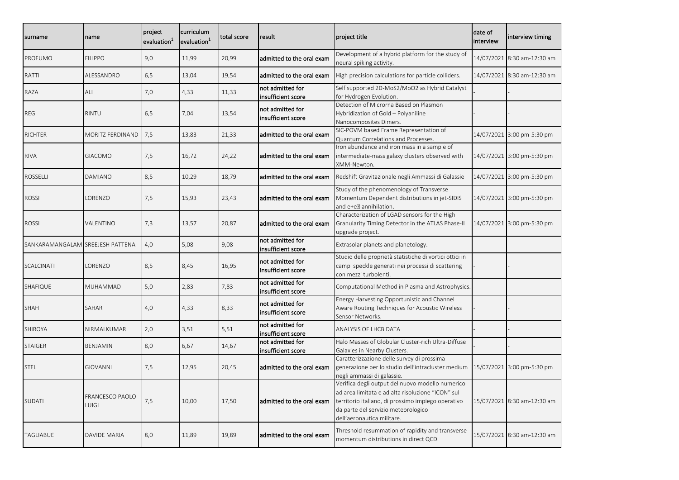| surname                          | name                            | project<br>evaluation <sup>1</sup> | curriculum<br>evaluation <sup>1</sup> | total score | result                                 | project title                                                                                                                                                                                                                    | date of<br>interview | interview timing            |
|----------------------------------|---------------------------------|------------------------------------|---------------------------------------|-------------|----------------------------------------|----------------------------------------------------------------------------------------------------------------------------------------------------------------------------------------------------------------------------------|----------------------|-----------------------------|
| PROFUMO                          | <b>FILIPPO</b>                  | 9,0                                | 11,99                                 | 20,99       | admitted to the oral exam              | Development of a hybrid platform for the study of<br>neural spiking activity.                                                                                                                                                    |                      | 14/07/2021 8:30 am-12:30 am |
| RATTI                            | ALESSANDRO                      | 6,5                                | 13,04                                 | 19,54       | ladmitted to the oral exam             | High precision calculations for particle colliders.                                                                                                                                                                              |                      | 14/07/2021 8:30 am-12:30 am |
| RAZA                             | ALI                             | 7,0                                | 4,33                                  | 11,33       | not admitted for<br>insufficient score | Self supported 2D-MoS2/MoO2 as Hybrid Catalyst<br>for Hydrogen Evolution.                                                                                                                                                        |                      |                             |
| <b>REGI</b>                      | RINTU                           | 6,5                                | 7,04                                  | 13,54       | not admitted for<br>Insufficient score | Detection of Microrna Based on Plasmon<br>Hybridization of Gold - Polyaniline<br>Nanocomposites Dimers.                                                                                                                          |                      |                             |
| <b>RICHTER</b>                   | MORITZ FERDINAND                | 7,5                                | 13,83                                 | 21,33       | admitted to the oral exam              | SIC-POVM based Frame Representation of<br>Quantum Correlations and Processes.                                                                                                                                                    |                      | 14/07/2021 3:00 pm-5:30 pm  |
| <b>RIVA</b>                      | <b>GIACOMO</b>                  | 7,5                                | 16,72                                 | 24,22       | admitted to the oral exam              | Iron abundance and iron mass in a sample of<br>intermediate-mass galaxy clusters observed with<br>XMM-Newton.                                                                                                                    |                      | 14/07/2021 3:00 pm-5:30 pm  |
| <b>ROSSELLI</b>                  | DAMIANO                         | 8,5                                | 10,29                                 | 18,79       | admitted to the oral exam              | Redshift Gravitazionale negli Ammassi di Galassie                                                                                                                                                                                |                      | 14/07/2021 3:00 pm-5:30 pm  |
| <b>ROSSI</b>                     | _ORENZO                         | 7,5                                | 15,93                                 | 23,43       | admitted to the oral exam              | Study of the phenomenology of Transverse<br>Momentum Dependent distributions in jet-SIDIS<br>and e+e? annihilation.                                                                                                              |                      | 14/07/2021 3:00 pm-5:30 pm  |
| <b>ROSSI</b>                     | VALENTINO                       | 7,3                                | 13,57                                 | 20,87       | ladmitted to the oral exam             | Characterization of LGAD sensors for the High<br>Granularity Timing Detector in the ATLAS Phase-II<br>upgrade project.                                                                                                           |                      | 14/07/2021 3:00 pm-5:30 pm  |
| SANKARAMANGALAM SREEJESH PATTENA |                                 | 4,0                                | 5,08                                  | 9,08        | not admitted for<br>insufficient score | Extrasolar planets and planetology.                                                                                                                                                                                              |                      |                             |
| <b>SCALCINATI</b>                | LORENZO                         | 8,5                                | 8,45                                  | 16,95       | not admitted for<br>insufficient score | Studio delle proprietà statistiche di vortici ottici in<br>campi speckle generati nei processi di scattering<br>con mezzi turbolenti                                                                                             |                      |                             |
| <b>SHAFIQUE</b>                  | MUHAMMAD                        | 5,0                                | 2,83                                  | 7,83        | not admitted for<br>insufficient score | Computational Method in Plasma and Astrophysics.                                                                                                                                                                                 |                      |                             |
| <b>SHAH</b>                      | SAHAR                           | 4,0                                | 4,33                                  | 8,33        | not admitted for<br>insufficient score | Energy Harvesting Opportunistic and Channel<br>Aware Routing Techniques for Acoustic Wireless<br>Sensor Networks.                                                                                                                |                      |                             |
| <b>SHIROYA</b>                   | NIRMALKUMAR                     | 2,0                                | 3,51                                  | 5,51        | not admitted for<br>insufficient score | ANALYSIS OF LHCB DATA                                                                                                                                                                                                            |                      |                             |
| <b>STAIGER</b>                   | BENJAMIN                        | 8,0                                | 6,67                                  | 14,67       | not admitted for<br>insufficient score | Halo Masses of Globular Cluster-rich Ultra-Diffuse<br>Galaxies in Nearby Clusters.                                                                                                                                               |                      |                             |
| <b>STEL</b>                      | <b>GIOVANNI</b>                 | 7,5                                | 12,95                                 | 20,45       | admitted to the oral exam              | Caratterizzazione delle survey di prossima<br>generazione per lo studio dell'intracluster medium   15/07/2021 3:00 pm-5:30 pm<br>negli ammassi di galassie.                                                                      |                      |                             |
| <b>SUDATI</b>                    | <b>FRANCESCO PAOLO</b><br>LUIGI | 7,5                                | 10,00                                 | 17,50       | admitted to the oral exam              | Verifica degli output del nuovo modello numerico<br>ad area limitata e ad alta risoluzione "ICON" sul<br>territorio italiano, di prossimo impiego operativo<br>da parte del servizio meteorologico<br>dell'aeronautica militare. |                      | 15/07/2021 8:30 am-12:30 am |
| TAGLIABUE                        | DAVIDE MARIA                    | 8,0                                | 11,89                                 | 19,89       | admitted to the oral exam              | Threshold resummation of rapidity and transverse<br>momentum distributions in direct QCD.                                                                                                                                        |                      | 15/07/2021 8:30 am-12:30 am |